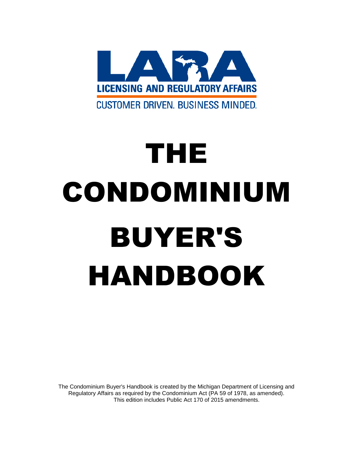

# THE CONDOMINIUM BUYER'S HANDBOOK

The Condominium Buyer's Handbook is created by the Michigan Department of Licensing and Regulatory Affairs as required by the Condominium Act (PA 59 of 1978, as amended). This edition includes Public Act 170 of 2015 amendments.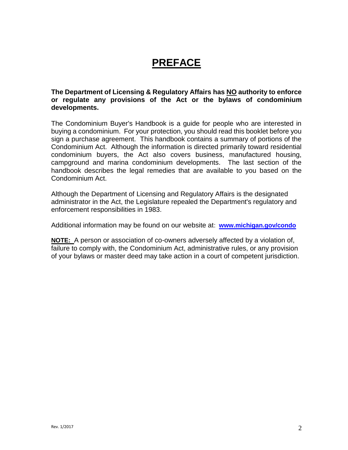## **PREFACE**

#### **The Department of Licensing & Regulatory Affairs has NO authority to enforce or regulate any provisions of the Act or the bylaws of condominium developments.**

The Condominium Buyer's Handbook is a guide for people who are interested in buying a condominium. For your protection, you should read this booklet before you sign a purchase agreement. This handbook contains a summary of portions of the Condominium Act. Although the information is directed primarily toward residential condominium buyers, the Act also covers business, manufactured housing, campground and marina condominium developments. The last section of the handbook describes the legal remedies that are available to you based on the Condominium Act.

Although the Department of Licensing and Regulatory Affairs is the designated administrator in the Act, the Legislature repealed the Department's regulatory and enforcement responsibilities in 1983.

Additional information may be found on our website at: **[www.michigan.gov/condo](http://www.michigan.gov/condo)**

**NOTE:** A person or association of co-owners adversely affected by a violation of, failure to comply with, the Condominium Act, administrative rules, or any provision of your bylaws or master deed may take action in a court of competent jurisdiction.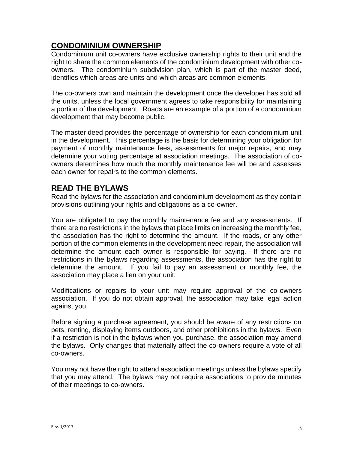#### **CONDOMINIUM OWNERSHIP**

Condominium unit co-owners have exclusive ownership rights to their unit and the right to share the common elements of the condominium development with other coowners. The condominium subdivision plan, which is part of the master deed, identifies which areas are units and which areas are common elements.

The co-owners own and maintain the development once the developer has sold all the units, unless the local government agrees to take responsibility for maintaining a portion of the development. Roads are an example of a portion of a condominium development that may become public.

The master deed provides the percentage of ownership for each condominium unit in the development. This percentage is the basis for determining your obligation for payment of monthly maintenance fees, assessments for major repairs, and may determine your voting percentage at association meetings. The association of coowners determines how much the monthly maintenance fee will be and assesses each owner for repairs to the common elements.

### **READ THE BYLAWS**

Read the bylaws for the association and condominium development as they contain provisions outlining your rights and obligations as a co-owner.

You are obligated to pay the monthly maintenance fee and any assessments. If there are no restrictions in the bylaws that place limits on increasing the monthly fee, the association has the right to determine the amount. If the roads, or any other portion of the common elements in the development need repair, the association will determine the amount each owner is responsible for paying. If there are no restrictions in the bylaws regarding assessments, the association has the right to determine the amount. If you fail to pay an assessment or monthly fee, the association may place a lien on your unit.

Modifications or repairs to your unit may require approval of the co-owners association. If you do not obtain approval, the association may take legal action against you.

Before signing a purchase agreement, you should be aware of any restrictions on pets, renting, displaying items outdoors, and other prohibitions in the bylaws. Even if a restriction is not in the bylaws when you purchase, the association may amend the bylaws. Only changes that materially affect the co-owners require a vote of all co-owners.

You may not have the right to attend association meetings unless the bylaws specify that you may attend. The bylaws may not require associations to provide minutes of their meetings to co-owners.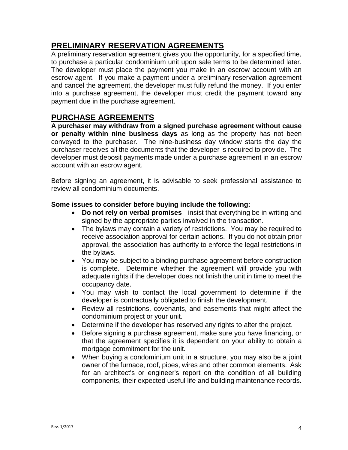#### **PRELIMINARY RESERVATION AGREEMENTS**

A preliminary reservation agreement gives you the opportunity, for a specified time, to purchase a particular condominium unit upon sale terms to be determined later. The developer must place the payment you make in an escrow account with an escrow agent. If you make a payment under a preliminary reservation agreement and cancel the agreement, the developer must fully refund the money. If you enter into a purchase agreement, the developer must credit the payment toward any payment due in the purchase agreement.

#### **PURCHASE AGREEMENTS**

**A purchaser may withdraw from a signed purchase agreement without cause or penalty within nine business days** as long as the property has not been conveyed to the purchaser. The nine-business day window starts the day the purchaser receives all the documents that the developer is required to provide. The developer must deposit payments made under a purchase agreement in an escrow account with an escrow agent.

Before signing an agreement, it is advisable to seek professional assistance to review all condominium documents.

#### **Some issues to consider before buying include the following:**

- **Do not rely on verbal promises** insist that everything be in writing and signed by the appropriate parties involved in the transaction.
- The bylaws may contain a variety of restrictions. You may be required to receive association approval for certain actions. If you do not obtain prior approval, the association has authority to enforce the legal restrictions in the bylaws.
- You may be subject to a binding purchase agreement before construction is complete. Determine whether the agreement will provide you with adequate rights if the developer does not finish the unit in time to meet the occupancy date.
- You may wish to contact the local government to determine if the developer is contractually obligated to finish the development.
- Review all restrictions, covenants, and easements that might affect the condominium project or your unit.
- Determine if the developer has reserved any rights to alter the project.
- Before signing a purchase agreement, make sure you have financing, or that the agreement specifies it is dependent on your ability to obtain a mortgage commitment for the unit.
- When buying a condominium unit in a structure, you may also be a joint owner of the furnace, roof, pipes, wires and other common elements. Ask for an architect's or engineer's report on the condition of all building components, their expected useful life and building maintenance records.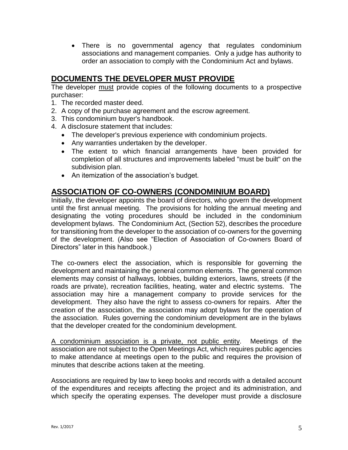• There is no governmental agency that regulates condominium associations and management companies. Only a judge has authority to order an association to comply with the Condominium Act and bylaws.

#### **DOCUMENTS THE DEVELOPER MUST PROVIDE**

The developer must provide copies of the following documents to a prospective purchaser:

- 1. The recorded master deed.
- 2. A copy of the purchase agreement and the escrow agreement.
- 3. This condominium buyer's handbook.
- 4. A disclosure statement that includes:
	- The developer's previous experience with condominium projects.
	- Any warranties undertaken by the developer.
	- The extent to which financial arrangements have been provided for completion of all structures and improvements labeled "must be built" on the subdivision plan.
	- An itemization of the association's budget.

## **ASSOCIATION OF CO-OWNERS (CONDOMINIUM BOARD)**

Initially, the developer appoints the board of directors, who govern the development until the first annual meeting. The provisions for holding the annual meeting and designating the voting procedures should be included in the condominium development bylaws. The Condominium Act, (Section 52), describes the procedure for transitioning from the developer to the association of co-owners for the governing of the development. (Also see "Election of Association of Co-owners Board of Directors" later in this handbook.)

The co-owners elect the association, which is responsible for governing the development and maintaining the general common elements. The general common elements may consist of hallways, lobbies, building exteriors, lawns, streets (if the roads are private), recreation facilities, heating, water and electric systems. The association may hire a management company to provide services for the development. They also have the right to assess co-owners for repairs. After the creation of the association, the association may adopt bylaws for the operation of the association. Rules governing the condominium development are in the bylaws that the developer created for the condominium development.

A condominium association is a private, not public entity. Meetings of the association are not subject to the Open Meetings Act, which requires public agencies to make attendance at meetings open to the public and requires the provision of minutes that describe actions taken at the meeting.

Associations are required by law to keep books and records with a detailed account of the expenditures and receipts affecting the project and its administration, and which specify the operating expenses. The developer must provide a disclosure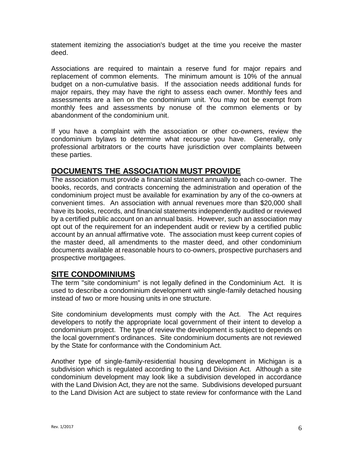statement itemizing the association's budget at the time you receive the master deed.

Associations are required to maintain a reserve fund for major repairs and replacement of common elements. The minimum amount is 10% of the annual budget on a non-cumulative basis. If the association needs additional funds for major repairs, they may have the right to assess each owner. Monthly fees and assessments are a lien on the condominium unit. You may not be exempt from monthly fees and assessments by nonuse of the common elements or by abandonment of the condominium unit.

If you have a complaint with the association or other co-owners, review the condominium bylaws to determine what recourse you have. Generally, only professional arbitrators or the courts have jurisdiction over complaints between these parties.

### **DOCUMENTS THE ASSOCIATION MUST PROVIDE**

The association must provide a financial statement annually to each co-owner. The books, records, and contracts concerning the administration and operation of the condominium project must be available for examination by any of the co-owners at convenient times. An association with annual revenues more than \$20,000 shall have its books, records, and financial statements independently audited or reviewed by a certified public account on an annual basis. However, such an association may opt out of the requirement for an independent audit or review by a certified public account by an annual affirmative vote. The association must keep current copies of the master deed, all amendments to the master deed, and other condominium documents available at reasonable hours to co-owners, prospective purchasers and prospective mortgagees.

#### **SITE CONDOMINIUMS**

The term "site condominium" is not legally defined in the Condominium Act. It is used to describe a condominium development with single-family detached housing instead of two or more housing units in one structure.

Site condominium developments must comply with the Act. The Act requires developers to notify the appropriate local government of their intent to develop a condominium project. The type of review the development is subject to depends on the local government's ordinances. Site condominium documents are not reviewed by the State for conformance with the Condominium Act.

Another type of single-family-residential housing development in Michigan is a subdivision which is regulated according to the Land Division Act. Although a site condominium development may look like a subdivision developed in accordance with the Land Division Act, they are not the same. Subdivisions developed pursuant to the Land Division Act are subject to state review for conformance with the Land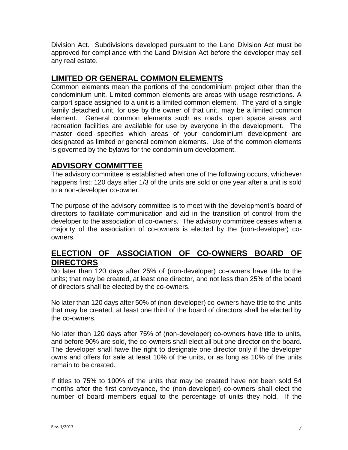Division Act. Subdivisions developed pursuant to the Land Division Act must be approved for compliance with the Land Division Act before the developer may sell any real estate.

#### **LIMITED OR GENERAL COMMON ELEMENTS**

Common elements mean the portions of the condominium project other than the condominium unit. Limited common elements are areas with usage restrictions. A carport space assigned to a unit is a limited common element. The yard of a single family detached unit, for use by the owner of that unit, may be a limited common element. General common elements such as roads, open space areas and recreation facilities are available for use by everyone in the development. The master deed specifies which areas of your condominium development are designated as limited or general common elements. Use of the common elements is governed by the bylaws for the condominium development.

## **ADVISORY COMMITTEE**

The advisory committee is established when one of the following occurs, whichever happens first: 120 days after 1/3 of the units are sold or one year after a unit is sold to a non-developer co-owner.

The purpose of the advisory committee is to meet with the development's board of directors to facilitate communication and aid in the transition of control from the developer to the association of co-owners. The advisory committee ceases when a majority of the association of co-owners is elected by the (non-developer) coowners.

#### **ELECTION OF ASSOCIATION OF CO-OWNERS BOARD OF DIRECTORS**

No later than 120 days after 25% of (non-developer) co-owners have title to the units; that may be created, at least one director, and not less than 25% of the board of directors shall be elected by the co-owners.

No later than 120 days after 50% of (non-developer) co-owners have title to the units that may be created, at least one third of the board of directors shall be elected by the co-owners.

No later than 120 days after 75% of (non-developer) co-owners have title to units, and before 90% are sold, the co-owners shall elect all but one director on the board. The developer shall have the right to designate one director only if the developer owns and offers for sale at least 10% of the units, or as long as 10% of the units remain to be created.

If titles to 75% to 100% of the units that may be created have not been sold 54 months after the first conveyance, the (non-developer) co-owners shall elect the number of board members equal to the percentage of units they hold. If the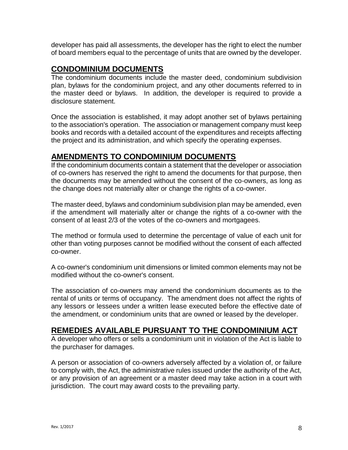developer has paid all assessments, the developer has the right to elect the number of board members equal to the percentage of units that are owned by the developer.

#### **CONDOMINIUM DOCUMENTS**

The condominium documents include the master deed, condominium subdivision plan, bylaws for the condominium project, and any other documents referred to in the master deed or bylaws. In addition, the developer is required to provide a disclosure statement.

Once the association is established, it may adopt another set of bylaws pertaining to the association's operation. The association or management company must keep books and records with a detailed account of the expenditures and receipts affecting the project and its administration, and which specify the operating expenses.

### **AMENDMENTS TO CONDOMINIUM DOCUMENTS**

If the condominium documents contain a statement that the developer or association of co-owners has reserved the right to amend the documents for that purpose, then the documents may be amended without the consent of the co-owners, as long as the change does not materially alter or change the rights of a co-owner.

The master deed, bylaws and condominium subdivision plan may be amended, even if the amendment will materially alter or change the rights of a co-owner with the consent of at least 2/3 of the votes of the co-owners and mortgagees.

The method or formula used to determine the percentage of value of each unit for other than voting purposes cannot be modified without the consent of each affected co-owner.

A co-owner's condominium unit dimensions or limited common elements may not be modified without the co-owner's consent.

The association of co-owners may amend the condominium documents as to the rental of units or terms of occupancy. The amendment does not affect the rights of any lessors or lessees under a written lease executed before the effective date of the amendment, or condominium units that are owned or leased by the developer.

#### **REMEDIES AVAILABLE PURSUANT TO THE CONDOMINIUM ACT**

A developer who offers or sells a condominium unit in violation of the Act is liable to the purchaser for damages.

A person or association of co-owners adversely affected by a violation of, or failure to comply with, the Act, the administrative rules issued under the authority of the Act, or any provision of an agreement or a master deed may take action in a court with jurisdiction. The court may award costs to the prevailing party.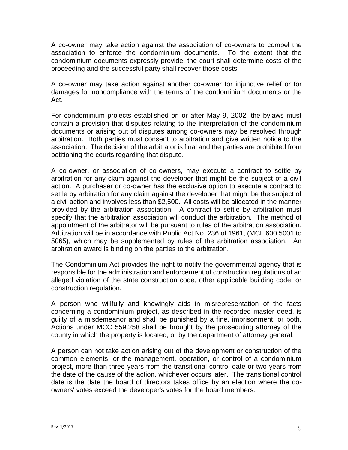A co-owner may take action against the association of co-owners to compel the association to enforce the condominium documents. To the extent that the condominium documents expressly provide, the court shall determine costs of the proceeding and the successful party shall recover those costs.

A co-owner may take action against another co-owner for injunctive relief or for damages for noncompliance with the terms of the condominium documents or the Act.

For condominium projects established on or after May 9, 2002, the bylaws must contain a provision that disputes relating to the interpretation of the condominium documents or arising out of disputes among co-owners may be resolved through arbitration. Both parties must consent to arbitration and give written notice to the association. The decision of the arbitrator is final and the parties are prohibited from petitioning the courts regarding that dispute.

A co-owner, or association of co-owners, may execute a contract to settle by arbitration for any claim against the developer that might be the subject of a civil action. A purchaser or co-owner has the exclusive option to execute a contract to settle by arbitration for any claim against the developer that might be the subject of a civil action and involves less than \$2,500. All costs will be allocated in the manner provided by the arbitration association. A contract to settle by arbitration must specify that the arbitration association will conduct the arbitration. The method of appointment of the arbitrator will be pursuant to rules of the arbitration association. Arbitration will be in accordance with Public Act No. 236 of 1961, (MCL 600.5001 to 5065), which may be supplemented by rules of the arbitration association. An arbitration award is binding on the parties to the arbitration.

The Condominium Act provides the right to notify the governmental agency that is responsible for the administration and enforcement of construction regulations of an alleged violation of the state construction code, other applicable building code, or construction regulation.

A person who willfully and knowingly aids in misrepresentation of the facts concerning a condominium project, as described in the recorded master deed, is guilty of a misdemeanor and shall be punished by a fine, imprisonment, or both. Actions under MCC 559.258 shall be brought by the prosecuting attorney of the county in which the property is located, or by the department of attorney general.

A person can not take action arising out of the development or construction of the common elements, or the management, operation, or control of a condominium project, more than three years from the transitional control date or two years from the date of the cause of the action, whichever occurs later. The transitional control date is the date the board of directors takes office by an election where the coowners' votes exceed the developer's votes for the board members.